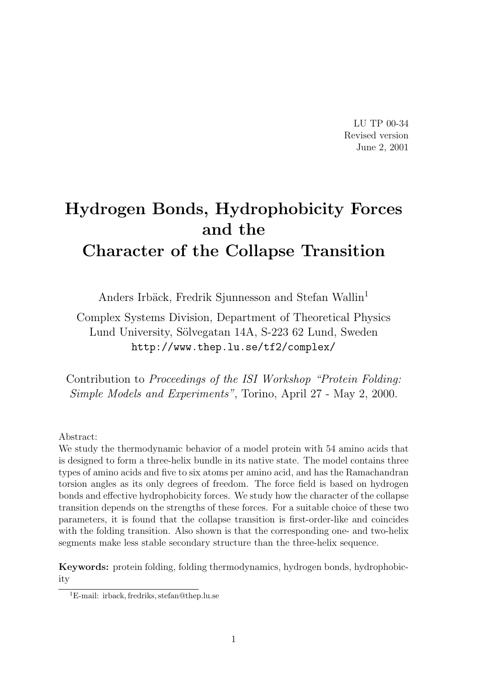LU TP 00-34 Revised version June 2, 2001

# Hydrogen Bonds, Hydrophobicity Forces and the Character of the Collapse Transition

Anders Irbäck, Fredrik Sjunnesson and Stefan Wallin<sup>1</sup>

Complex Systems Division, Department of Theoretical Physics Lund University, Sölvegatan 14A, S-223 62 Lund, Sweden http://www.thep.lu.se/tf2/complex/

Contribution to Proceedings of the ISI Workshop "Protein Folding: Simple Models and Experiments", Torino, April 27 - May 2, 2000.

#### Abstract:

We study the thermodynamic behavior of a model protein with 54 amino acids that is designed to form a three-helix bundle in its native state. The model contains three types of amino acids and five to six atoms per amino acid, and has the Ramachandran torsion angles as its only degrees of freedom. The force field is based on hydrogen bonds and effective hydrophobicity forces. We study how the character of the collapse transition depends on the strengths of these forces. For a suitable choice of these two parameters, it is found that the collapse transition is first-order-like and coincides with the folding transition. Also shown is that the corresponding one- and two-helix segments make less stable secondary structure than the three-helix sequence.

Keywords: protein folding, folding thermodynamics, hydrogen bonds, hydrophobicity

<sup>1</sup>E-mail: irback, fredriks, stefan@thep.lu.se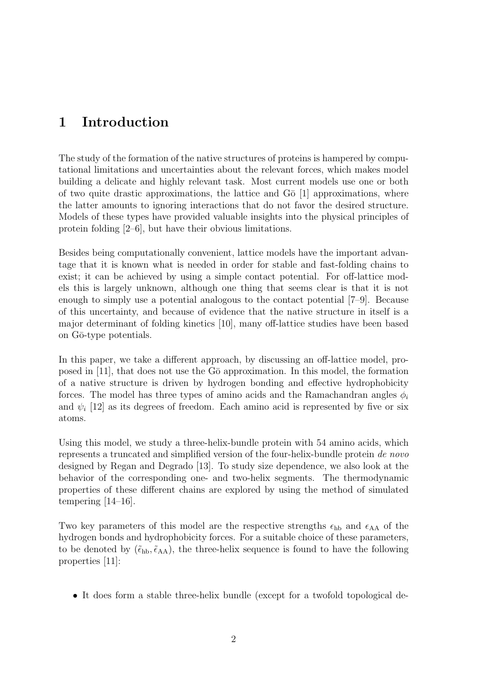## 1 Introduction

The study of the formation of the native structures of proteins is hampered by computational limitations and uncertainties about the relevant forces, which makes model building a delicate and highly relevant task. Most current models use one or both of two quite drastic approximations, the lattice and  $G\bar{o}$  [1] approximations, where the latter amounts to ignoring interactions that do not favor the desired structure. Models of these types have provided valuable insights into the physical principles of protein folding [2–6], but have their obvious limitations.

Besides being computationally convenient, lattice models have the important advantage that it is known what is needed in order for stable and fast-folding chains to exist; it can be achieved by using a simple contact potential. For off-lattice models this is largely unknown, although one thing that seems clear is that it is not enough to simply use a potential analogous to the contact potential [7–9]. Because of this uncertainty, and because of evidence that the native structure in itself is a major determinant of folding kinetics [10], many off-lattice studies have been based on Gō-type potentials.

In this paper, we take a different approach, by discussing an off-lattice model, proposed in  $[11]$ , that does not use the G $\bar{o}$  approximation. In this model, the formation of a native structure is driven by hydrogen bonding and effective hydrophobicity forces. The model has three types of amino acids and the Ramachandran angles  $\phi_i$ and  $\psi_i$  [12] as its degrees of freedom. Each amino acid is represented by five or six atoms.

Using this model, we study a three-helix-bundle protein with 54 amino acids, which represents a truncated and simplified version of the four-helix-bundle protein de novo designed by Regan and Degrado [13]. To study size dependence, we also look at the behavior of the corresponding one- and two-helix segments. The thermodynamic properties of these different chains are explored by using the method of simulated tempering [14–16].

Two key parameters of this model are the respective strengths  $\epsilon_{hb}$  and  $\epsilon_{AA}$  of the hydrogen bonds and hydrophobicity forces. For a suitable choice of these parameters, to be denoted by  $(\tilde{\epsilon}_{hb},\tilde{\epsilon}_{AA})$ , the three-helix sequence is found to have the following properties [11]:

• It does form a stable three-helix bundle (except for a twofold topological de-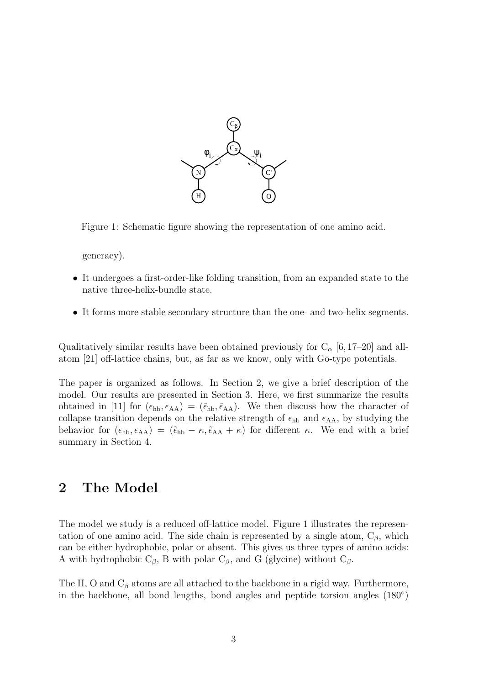

Figure 1: Schematic figure showing the representation of one amino acid.

generacy).

- It undergoes a first-order-like folding transition, from an expanded state to the native three-helix-bundle state.
- It forms more stable secondary structure than the one- and two-helix segments.

Qualitatively similar results have been obtained previously for  $C_{\alpha}$  [6,17–20] and allatom  $[21]$  off-lattice chains, but, as far as we know, only with G $\bar{o}$ -type potentials.

The paper is organized as follows. In Section 2, we give a brief description of the model. Our results are presented in Section 3. Here, we first summarize the results obtained in [11] for  $(\epsilon_{hb}, \epsilon_{AA}) = (\tilde{\epsilon}_{hb}, \tilde{\epsilon}_{AA})$ . We then discuss how the character of collapse transition depends on the relative strength of  $\epsilon_{hb}$  and  $\epsilon_{AA}$ , by studying the behavior for  $(\epsilon_{hb}, \epsilon_{AA}) = (\tilde{\epsilon}_{hb} - \kappa, \tilde{\epsilon}_{AA} + \kappa)$  for different  $\kappa$ . We end with a brief summary in Section 4.

## 2 The Model

The model we study is a reduced off-lattice model. Figure 1 illustrates the representation of one amino acid. The side chain is represented by a single atom,  $C_\beta$ , which can be either hydrophobic, polar or absent. This gives us three types of amino acids: A with hydrophobic  $C_\beta$ , B with polar  $C_\beta$ , and G (glycine) without  $C_\beta$ .

The H, O and  $C_\beta$  atoms are all attached to the backbone in a rigid way. Furthermore, in the backbone, all bond lengths, bond angles and peptide torsion angles (180◦ )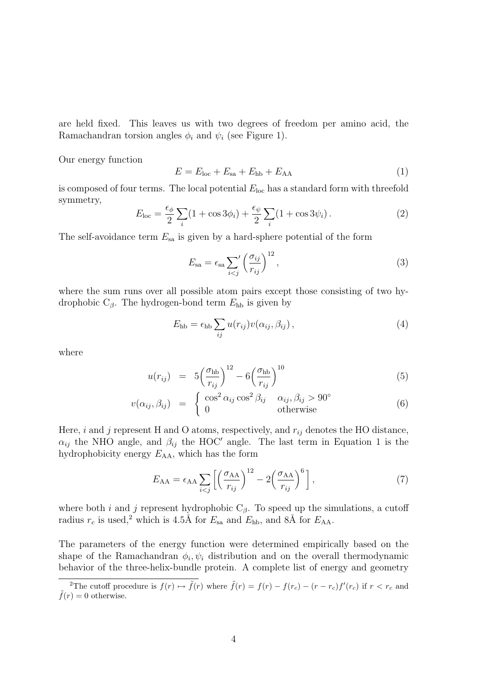are held fixed. This leaves us with two degrees of freedom per amino acid, the Ramachandran torsion angles  $\phi_i$  and  $\psi_i$  (see Figure 1).

Our energy function

$$
E = Eloc + Esa + Ehb + EAA
$$
 (1)

is composed of four terms. The local potential  $E_{\text{loc}}$  has a standard form with threefold symmetry,

$$
E_{\text{loc}} = \frac{\epsilon_{\phi}}{2} \sum_{i} (1 + \cos 3\phi_i) + \frac{\epsilon_{\psi}}{2} \sum_{i} (1 + \cos 3\psi_i). \tag{2}
$$

The self-avoidance term  $E_{sa}$  is given by a hard-sphere potential of the form

$$
E_{\rm sa} = \epsilon_{\rm sa} \sum_{i < j} \left(\frac{\sigma_{ij}}{r_{ij}}\right)^{12},\tag{3}
$$

where the sum runs over all possible atom pairs except those consisting of two hydrophobic  $C_{\beta}$ . The hydrogen-bond term  $E_{\rm hb}$  is given by

$$
E_{\rm hb} = \epsilon_{\rm hb} \sum_{ij} u(r_{ij}) v(\alpha_{ij}, \beta_{ij}), \qquad (4)
$$

where

$$
u(r_{ij}) = 5\left(\frac{\sigma_{\text{hb}}}{r_{ij}}\right)^{12} - 6\left(\frac{\sigma_{\text{hb}}}{r_{ij}}\right)^{10} \tag{5}
$$

$$
v(\alpha_{ij}, \beta_{ij}) = \begin{cases} \cos^2 \alpha_{ij} \cos^2 \beta_{ij} & \alpha_{ij}, \beta_{ij} > 90^\circ\\ 0 & \text{otherwise} \end{cases}
$$
(6)

Here, i and j represent H and O atoms, respectively, and  $r_{ij}$  denotes the HO distance,  $\alpha_{ij}$  the NHO angle, and  $\beta_{ij}$  the HOC' angle. The last term in Equation 1 is the hydrophobicity energy  $E_{AA}$ , which has the form

$$
E_{\rm AA} = \epsilon_{\rm AA} \sum_{i < j} \left[ \left( \frac{\sigma_{\rm AA}}{r_{ij}} \right)^{12} - 2 \left( \frac{\sigma_{\rm AA}}{r_{ij}} \right)^6 \right],\tag{7}
$$

where both *i* and *j* represent hydrophobic  $C_\beta$ . To speed up the simulations, a cutoff radius  $r_c$  is used,<sup>2</sup> which is 4.5Å for  $E_{\text{sa}}$  and  $E_{\text{hb}}$ , and 8Å for  $E_{\text{AA}}$ .

The parameters of the energy function were determined empirically based on the shape of the Ramachandran  $\phi_i, \psi_i$  distribution and on the overall thermodynamic behavior of the three-helix-bundle protein. A complete list of energy and geometry

<sup>&</sup>lt;sup>2</sup>The cutoff procedure is  $f(r) \mapsto \tilde{f}(r)$  where  $\tilde{f}(r) = f(r) - f(r_c) - (r - r_c)f'(r_c)$  if  $r < r_c$  and  $ilde{f}(r) = 0$  otherwise.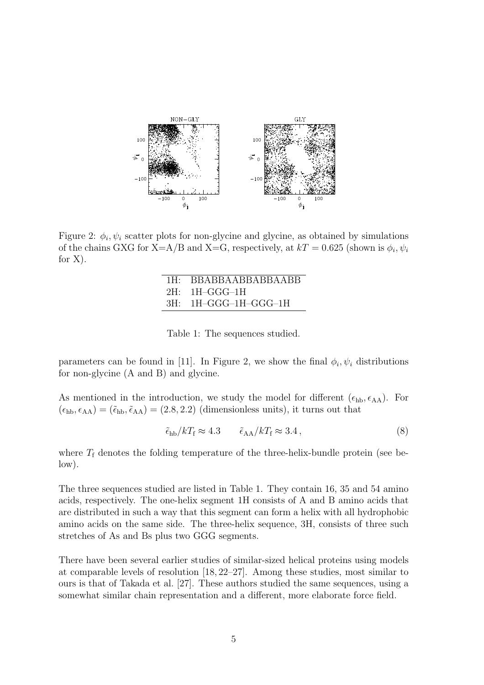

Figure 2:  $\phi_i, \psi_i$  scatter plots for non-glycine and glycine, as obtained by simulations of the chains GXG for X=A/B and X=G, respectively, at  $kT = 0.625$  (shown is  $\phi_i, \psi_i$ ) for X).

| 1H: BBABBAABBABBAABB   |
|------------------------|
| $2H: 1H-GGG-1H$        |
| $3H:$ 1H-GGG-1H-GGG-1H |

Table 1: The sequences studied.

parameters can be found in [11]. In Figure 2, we show the final  $\phi_i, \psi_i$  distributions for non-glycine (A and B) and glycine.

As mentioned in the introduction, we study the model for different  $(\epsilon_{hb}, \epsilon_{AA})$ . For  $(\epsilon_{hb}, \epsilon_{AA}) = (\tilde{\epsilon}_{hb}, \tilde{\epsilon}_{AA}) = (2.8, 2.2)$  (dimensionless units), it turns out that

$$
\tilde{\epsilon}_{\rm hb}/kT_{\rm f} \approx 4.3 \qquad \tilde{\epsilon}_{\rm AA}/kT_{\rm f} \approx 3.4 \,, \tag{8}
$$

where  $T_f$  denotes the folding temperature of the three-helix-bundle protein (see below).

The three sequences studied are listed in Table 1. They contain 16, 35 and 54 amino acids, respectively. The one-helix segment 1H consists of A and B amino acids that are distributed in such a way that this segment can form a helix with all hydrophobic amino acids on the same side. The three-helix sequence, 3H, consists of three such stretches of As and Bs plus two GGG segments.

There have been several earlier studies of similar-sized helical proteins using models at comparable levels of resolution [18, 22–27]. Among these studies, most similar to ours is that of Takada et al. [27]. These authors studied the same sequences, using a somewhat similar chain representation and a different, more elaborate force field.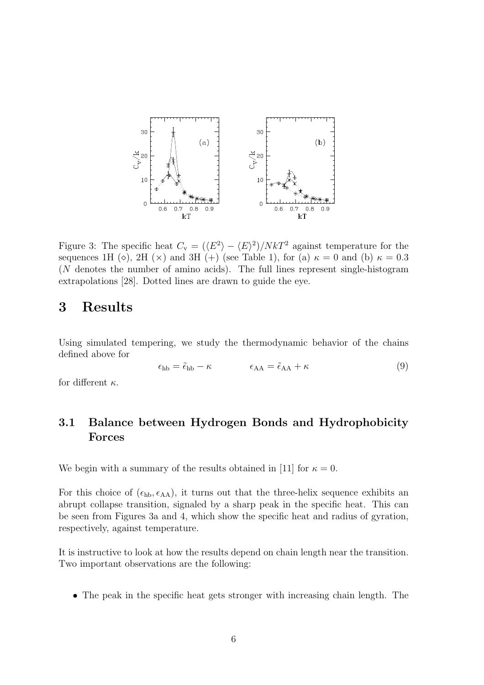

Figure 3: The specific heat  $C_{\rm v} = (\langle E^2 \rangle - \langle E \rangle^2)/NkT^2$  against temperature for the sequences 1H ( $\diamond$ ), 2H ( $\times$ ) and 3H (+) (see Table 1), for (a)  $\kappa = 0$  and (b)  $\kappa = 0.3$ (N denotes the number of amino acids). The full lines represent single-histogram extrapolations [28]. Dotted lines are drawn to guide the eye.

## 3 Results

Using simulated tempering, we study the thermodynamic behavior of the chains defined above for

$$
\epsilon_{\rm hb} = \tilde{\epsilon}_{\rm hb} - \kappa \qquad \epsilon_{\rm AA} = \tilde{\epsilon}_{\rm AA} + \kappa \tag{9}
$$

for different  $\kappa$ .

## 3.1 Balance between Hydrogen Bonds and Hydrophobicity Forces

We begin with a summary of the results obtained in [11] for  $\kappa = 0$ .

For this choice of  $(\epsilon_{hb}, \epsilon_{AA})$ , it turns out that the three-helix sequence exhibits an abrupt collapse transition, signaled by a sharp peak in the specific heat. This can be seen from Figures 3a and 4, which show the specific heat and radius of gyration, respectively, against temperature.

It is instructive to look at how the results depend on chain length near the transition. Two important observations are the following:

• The peak in the specific heat gets stronger with increasing chain length. The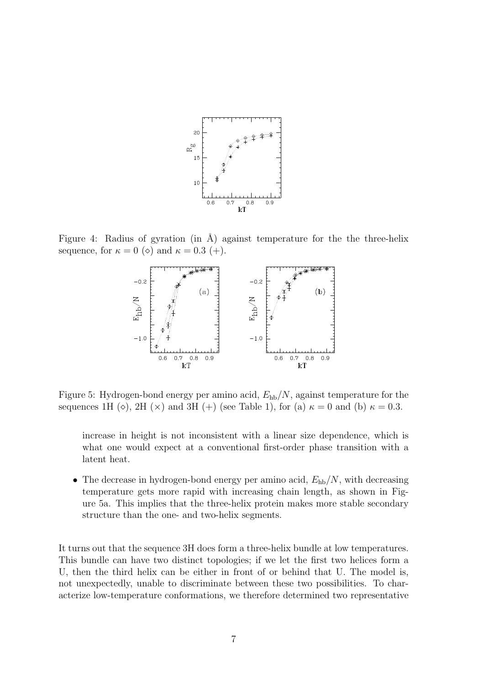

Figure 4: Radius of gyration (in  $\AA$ ) against temperature for the the three-helix sequence, for  $\kappa = 0$  ( $\diamond$ ) and  $\kappa = 0.3$  (+).



Figure 5: Hydrogen-bond energy per amino acid,  $E_{hb}/N$ , against temperature for the sequences 1H ( $\diamond$ ), 2H ( $\times$ ) and 3H (+) (see Table 1), for (a)  $\kappa = 0$  and (b)  $\kappa = 0.3$ .

increase in height is not inconsistent with a linear size dependence, which is what one would expect at a conventional first-order phase transition with a latent heat.

• The decrease in hydrogen-bond energy per amino acid,  $E_{hb}/N$ , with decreasing temperature gets more rapid with increasing chain length, as shown in Figure 5a. This implies that the three-helix protein makes more stable secondary structure than the one- and two-helix segments.

It turns out that the sequence 3H does form a three-helix bundle at low temperatures. This bundle can have two distinct topologies; if we let the first two helices form a U, then the third helix can be either in front of or behind that U. The model is, not unexpectedly, unable to discriminate between these two possibilities. To characterize low-temperature conformations, we therefore determined two representative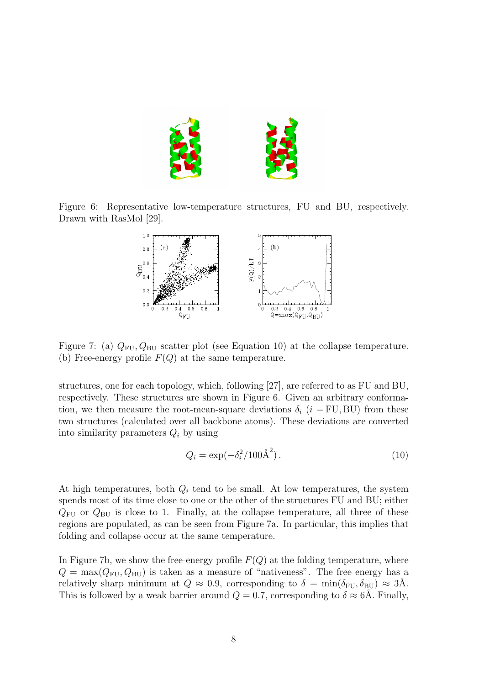

Figure 6: Representative low-temperature structures, FU and BU, respectively. Drawn with RasMol [29].



Figure 7: (a)  $Q_{\text{FU}}, Q_{\text{BU}}$  scatter plot (see Equation 10) at the collapse temperature. (b) Free-energy profile  $F(Q)$  at the same temperature.

structures, one for each topology, which, following [27], are referred to as FU and BU, respectively. These structures are shown in Figure 6. Given an arbitrary conformation, we then measure the root-mean-square deviations  $\delta_i$  (i = FU, BU) from these two structures (calculated over all backbone atoms). These deviations are converted into similarity parameters  $Q_i$  by using

$$
Q_i = \exp(-\delta_i^2 / 100 \text{\AA}^2). \tag{10}
$$

At high temperatures, both  $Q_i$  tend to be small. At low temperatures, the system spends most of its time close to one or the other of the structures FU and BU; either  $Q_{\text{FU}}$  or  $Q_{\text{BU}}$  is close to 1. Finally, at the collapse temperature, all three of these regions are populated, as can be seen from Figure 7a. In particular, this implies that folding and collapse occur at the same temperature.

In Figure 7b, we show the free-energy profile  $F(Q)$  at the folding temperature, where  $Q = \max(Q_{\text{FU}}, Q_{\text{BU}})$  is taken as a measure of "nativeness". The free energy has a relatively sharp minimum at  $Q \approx 0.9$ , corresponding to  $\delta = \min(\delta_{\text{FU}}, \delta_{\text{BU}}) \approx 3\text{\AA}$ . This is followed by a weak barrier around  $Q = 0.7$ , corresponding to  $\delta \approx 6\text{\AA}$ . Finally,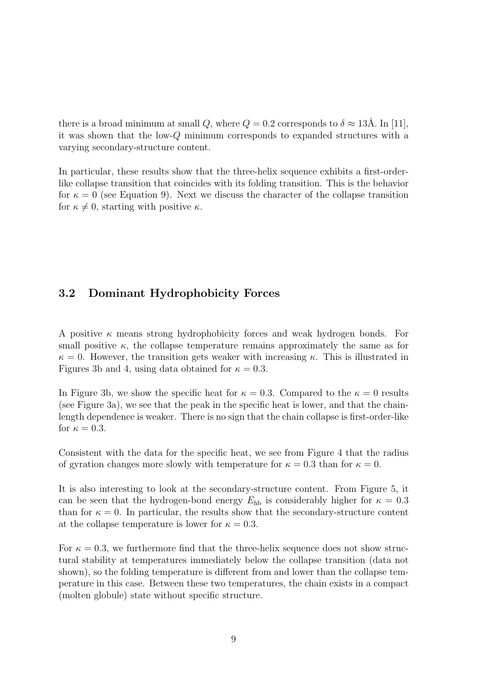there is a broad minimum at small Q, where  $Q = 0.2$  corresponds to  $\delta \approx 13\text{\AA}$ . In [11], it was shown that the low-Q minimum corresponds to expanded structures with a varying secondary-structure content.

In particular, these results show that the three-helix sequence exhibits a first-orderlike collapse transition that coincides with its folding transition. This is the behavior for  $\kappa = 0$  (see Equation 9). Next we discuss the character of the collapse transition for  $\kappa \neq 0$ , starting with positive  $\kappa$ .

#### 3.2 Dominant Hydrophobicity Forces

A positive  $\kappa$  means strong hydrophobicity forces and weak hydrogen bonds. For small positive  $\kappa$ , the collapse temperature remains approximately the same as for  $\kappa = 0$ . However, the transition gets weaker with increasing  $\kappa$ . This is illustrated in Figures 3b and 4, using data obtained for  $\kappa = 0.3$ .

In Figure 3b, we show the specific heat for  $\kappa = 0.3$ . Compared to the  $\kappa = 0$  results (see Figure 3a), we see that the peak in the specific heat is lower, and that the chainlength dependence is weaker. There is no sign that the chain collapse is first-order-like for  $\kappa = 0.3$ .

Consistent with the data for the specific heat, we see from Figure 4 that the radius of gyration changes more slowly with temperature for  $\kappa = 0.3$  than for  $\kappa = 0$ .

It is also interesting to look at the secondary-structure content. From Figure 5, it can be seen that the hydrogen-bond energy  $E_{\text{hb}}$  is considerably higher for  $\kappa = 0.3$ than for  $\kappa = 0$ . In particular, the results show that the secondary-structure content at the collapse temperature is lower for  $\kappa = 0.3$ .

For  $\kappa = 0.3$ , we furthermore find that the three-helix sequence does not show structural stability at temperatures immediately below the collapse transition (data not shown), so the folding temperature is different from and lower than the collapse temperature in this case. Between these two temperatures, the chain exists in a compact (molten globule) state without specific structure.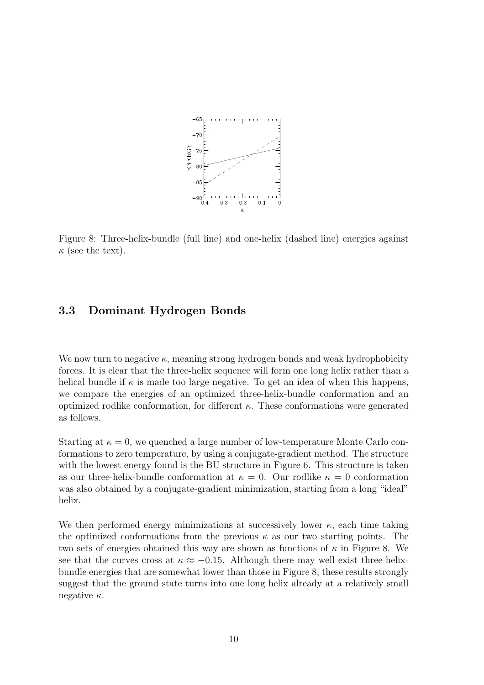

Figure 8: Three-helix-bundle (full line) and one-helix (dashed line) energies against  $\kappa$  (see the text).

#### 3.3 Dominant Hydrogen Bonds

We now turn to negative  $\kappa$ , meaning strong hydrogen bonds and weak hydrophobicity forces. It is clear that the three-helix sequence will form one long helix rather than a helical bundle if  $\kappa$  is made too large negative. To get an idea of when this happens, we compare the energies of an optimized three-helix-bundle conformation and an optimized rodlike conformation, for different  $\kappa$ . These conformations were generated as follows.

Starting at  $\kappa = 0$ , we quenched a large number of low-temperature Monte Carlo conformations to zero temperature, by using a conjugate-gradient method. The structure with the lowest energy found is the BU structure in Figure 6. This structure is taken as our three-helix-bundle conformation at  $\kappa = 0$ . Our rodlike  $\kappa = 0$  conformation was also obtained by a conjugate-gradient minimization, starting from a long "ideal" helix.

We then performed energy minimizations at successively lower  $\kappa$ , each time taking the optimized conformations from the previous  $\kappa$  as our two starting points. The two sets of energies obtained this way are shown as functions of  $\kappa$  in Figure 8. We see that the curves cross at  $\kappa \approx -0.15$ . Although there may well exist three-helixbundle energies that are somewhat lower than those in Figure 8, these results strongly suggest that the ground state turns into one long helix already at a relatively small negative  $\kappa$ .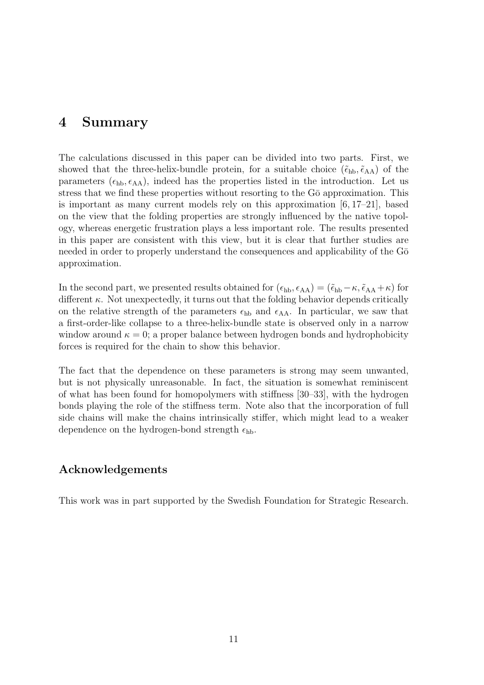## 4 Summary

The calculations discussed in this paper can be divided into two parts. First, we showed that the three-helix-bundle protein, for a suitable choice  $(\tilde{\epsilon}_{hb},\tilde{\epsilon}_{AA})$  of the parameters  $(\epsilon_{hb}, \epsilon_{AA})$ , indeed has the properties listed in the introduction. Let us stress that we find these properties without resorting to the G<sub>0</sub> approximation. This is important as many current models rely on this approximation  $[6, 17–21]$ , based on the view that the folding properties are strongly influenced by the native topology, whereas energetic frustration plays a less important role. The results presented in this paper are consistent with this view, but it is clear that further studies are needed in order to properly understand the consequences and applicability of the G $\bar{o}$ approximation.

In the second part, we presented results obtained for  $(\epsilon_{hb}, \epsilon_{AA}) = (\tilde{\epsilon}_{hb} - \kappa, \tilde{\epsilon}_{AA} + \kappa)$  for different  $\kappa$ . Not unexpectedly, it turns out that the folding behavior depends critically on the relative strength of the parameters  $\epsilon_{hb}$  and  $\epsilon_{AA}$ . In particular, we saw that a first-order-like collapse to a three-helix-bundle state is observed only in a narrow window around  $\kappa = 0$ ; a proper balance between hydrogen bonds and hydrophobicity forces is required for the chain to show this behavior.

The fact that the dependence on these parameters is strong may seem unwanted, but is not physically unreasonable. In fact, the situation is somewhat reminiscent of what has been found for homopolymers with stiffness [30–33], with the hydrogen bonds playing the role of the stiffness term. Note also that the incorporation of full side chains will make the chains intrinsically stiffer, which might lead to a weaker dependence on the hydrogen-bond strength  $\epsilon_{hb}$ .

#### Acknowledgements

This work was in part supported by the Swedish Foundation for Strategic Research.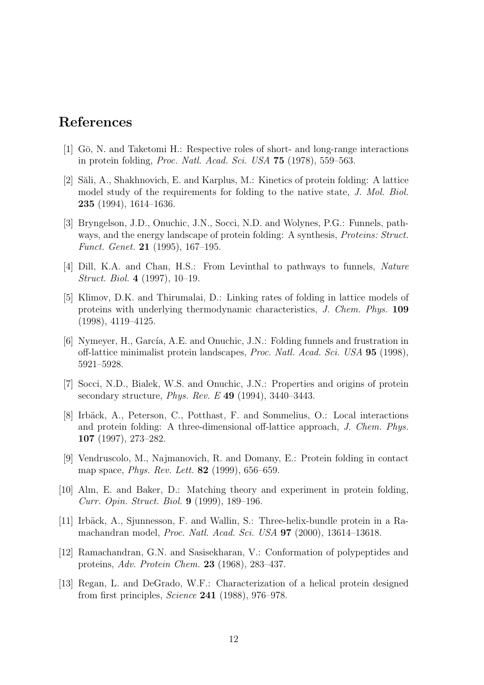## References

- [1] Gō, N. and Taketomi H.: Respective roles of short- and long-range interactions in protein folding, Proc. Natl. Acad. Sci. USA 75 (1978), 559–563.
- [2] Săli, A., Shakhnovich, E. and Karplus, M.: Kinetics of protein folding: A lattice model study of the requirements for folding to the native state, J. Mol. Biol. 235 (1994), 1614–1636.
- [3] Bryngelson, J.D., Onuchic, J.N., Socci, N.D. and Wolynes, P.G.: Funnels, pathways, and the energy landscape of protein folding: A synthesis, *Proteins: Struct.* Funct. Genet. 21 (1995), 167–195.
- [4] Dill, K.A. and Chan, H.S.: From Levinthal to pathways to funnels, Nature Struct. Biol. 4 (1997), 10–19.
- [5] Klimov, D.K. and Thirumalai, D.: Linking rates of folding in lattice models of proteins with underlying thermodynamic characteristics, J. Chem. Phys. 109 (1998), 4119–4125.
- [6] Nymeyer, H., García, A.E. and Onuchic, J.N.: Folding funnels and frustration in off-lattice minimalist protein landscapes, Proc. Natl. Acad. Sci. USA 95 (1998), 5921–5928.
- [7] Socci, N.D., Bialek, W.S. and Onuchic, J.N.: Properties and origins of protein secondary structure, Phys. Rev. E 49 (1994), 3440–3443.
- [8] Irbäck, A., Peterson, C., Potthast, F. and Sommelius, O.: Local interactions and protein folding: A three-dimensional off-lattice approach, J. Chem. Phys. 107 (1997), 273–282.
- [9] Vendruscolo, M., Najmanovich, R. and Domany, E.: Protein folding in contact map space, Phys. Rev. Lett. 82 (1999), 656–659.
- [10] Alm, E. and Baker, D.: Matching theory and experiment in protein folding, Curr. Opin. Struct. Biol. 9 (1999), 189–196.
- [11] Irbäck, A., Sjunnesson, F. and Wallin, S.: Three-helix-bundle protein in a Ramachandran model, Proc. Natl. Acad. Sci. USA 97 (2000), 13614–13618.
- [12] Ramachandran, G.N. and Sasisekharan, V.: Conformation of polypeptides and proteins, Adv. Protein Chem. 23 (1968), 283–437.
- [13] Regan, L. and DeGrado, W.F.: Characterization of a helical protein designed from first principles, Science 241 (1988), 976–978.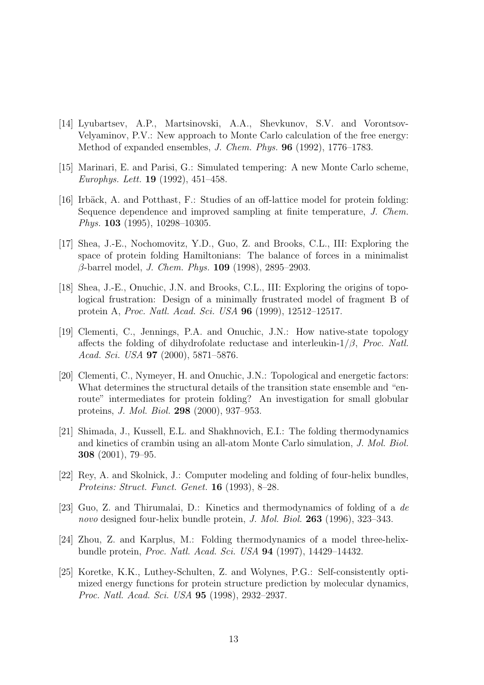- [14] Lyubartsev, A.P., Martsinovski, A.A., Shevkunov, S.V. and Vorontsov-Velyaminov, P.V.: New approach to Monte Carlo calculation of the free energy: Method of expanded ensembles, J. Chem. Phys. 96 (1992), 1776–1783.
- [15] Marinari, E. and Parisi, G.: Simulated tempering: A new Monte Carlo scheme, Europhys. Lett. **19** (1992), 451–458.
- [16] Irbäck, A. and Potthast, F.: Studies of an off-lattice model for protein folding: Sequence dependence and improved sampling at finite temperature, J. Chem. Phys. 103 (1995), 10298–10305.
- [17] Shea, J.-E., Nochomovitz, Y.D., Guo, Z. and Brooks, C.L., III: Exploring the space of protein folding Hamiltonians: The balance of forces in a minimalist  $\beta$ -barrel model, *J. Chem. Phys.* **109** (1998), 2895–2903.
- [18] Shea, J.-E., Onuchic, J.N. and Brooks, C.L., III: Exploring the origins of topological frustration: Design of a minimally frustrated model of fragment B of protein A, Proc. Natl. Acad. Sci. USA 96 (1999), 12512–12517.
- [19] Clementi, C., Jennings, P.A. and Onuchic, J.N.: How native-state topology affects the folding of dihydrofolate reductase and interleukin- $1/\beta$ , Proc. Natl. Acad. Sci. USA 97 (2000), 5871–5876.
- [20] Clementi, C., Nymeyer, H. and Onuchic, J.N.: Topological and energetic factors: What determines the structural details of the transition state ensemble and "enroute" intermediates for protein folding? An investigation for small globular proteins, J. Mol. Biol. 298 (2000), 937–953.
- [21] Shimada, J., Kussell, E.L. and Shakhnovich, E.I.: The folding thermodynamics and kinetics of crambin using an all-atom Monte Carlo simulation, J. Mol. Biol. 308 (2001), 79–95.
- [22] Rey, A. and Skolnick, J.: Computer modeling and folding of four-helix bundles, Proteins: Struct. Funct. Genet. 16 (1993), 8–28.
- [23] Guo, Z. and Thirumalai, D.: Kinetics and thermodynamics of folding of a de novo designed four-helix bundle protein, J. Mol. Biol. 263 (1996), 323-343.
- [24] Zhou, Z. and Karplus, M.: Folding thermodynamics of a model three-helixbundle protein, Proc. Natl. Acad. Sci. USA 94 (1997), 14429–14432.
- [25] Koretke, K.K., Luthey-Schulten, Z. and Wolynes, P.G.: Self-consistently optimized energy functions for protein structure prediction by molecular dynamics, Proc. Natl. Acad. Sci. USA 95 (1998), 2932–2937.